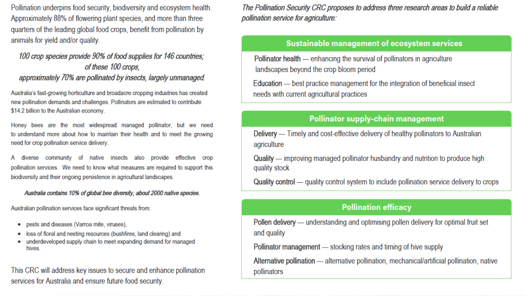Pollination underpins food security, biodiversity and ecosystem health. Approximately 88% of flowering plant species, and more than three quarters of the leading global food crops, benefit from pollination by animals for yield and/or quality.

#### 100 crop species provide 90% of food supplies for 146 countries; of these 100 crops. approximately 70% are pollinated by insects, largely unmanaged.

Australia's fast-growing horticulture and broadacre cropping industries has created new pollination demands and challenges. Pollinators are estimated to contribute \$14.2 billion to the Australian economy.

Honey bees are the most widespread managed pollinator, but we need to understand more about how to maintain their health and to meet the growing need for crop pollination service delivery.

diverse community of native insects also provide effective crop pollination services. We need to know what measures are required to support this biodiversity and their ongoing persistence in agricultural landscapes.

#### Australia contains 10% of global bee diversity, about 2000 native species.

Australian pollination services face significant threats from:

- pests and diseases (Varroa mite, viruses), ۰
- loss of floral and nesting resources (bushfires, land clearing) and
- underdeveloped supply chain to meet expanding demand for managed ۰ hives.

This CRC will address key issues to secure and enhance pollination services for Australia and ensure future food security.

The Pollination Security CRC proposes to address three research areas to build a reliable pollination service for agriculture:

#### Sustainable management of ecosystem services

Pollinator health — enhancing the survival of pollinators in agriculture landscapes beyond the crop bloom period

Education — best practice management for the integration of beneficial insect needs with current agricultural practices

#### **Pollinator supply-chain management**

Delivery — Timely and cost-effective delivery of healthy pollinators to Australian agriculture

Quality — improving managed pollinator husbandry and nutrition to produce high quality stock

Quality control — quality control system to include pollination service delivery to crops

#### **Pollination efficacy**

Pollen delivery — understanding and optimising pollen delivery for optimal fruit set and quality

Pollinator management — stocking rates and timing of hive supply

Alternative pollination — alternative pollination, mechanical/artificial pollination, native pollinators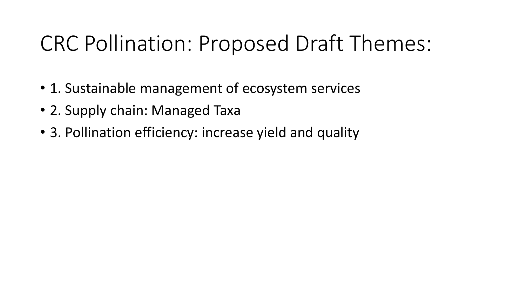# CRC Pollination: Proposed Draft Themes:

- 1. Sustainable management of ecosystem services
- 2. Supply chain: Managed Taxa
- 3. Pollination efficiency: increase yield and quality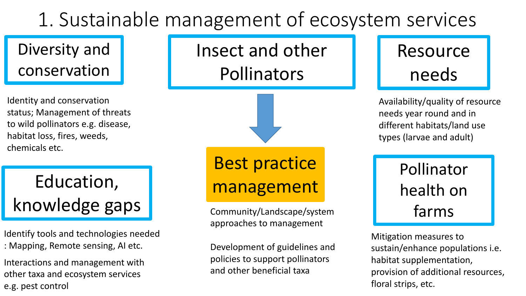# 1. Sustainable management of ecosystem services

### Diversity and conservation

Identity and conservation status; Management of threats to wild pollinators e.g. disease, habitat loss, fires, weeds, chemicals etc.

# Education, **Education**, **Education**, knowledge gaps

Identify tools and technologies needed : Mapping, Remote sensing, AI etc.

Interactions and management with other taxa and ecosystem services e.g. pest control

Insect and other Pollinators



Best practice

Community/Landscape/system approaches to management

Development of guidelines and policies to support pollinators and other beneficial taxa



Availability/quality of resource needs year round and in different habitats/land use types (larvae and adult)

## Pollinator health on farms

Mitigation measures to sustain/enhance populations i.e. habitat supplementation, provision of additional resources, floral strips, etc.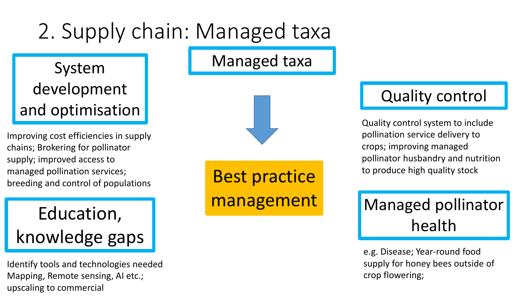# 2. Supply chain: Managed taxa

Managed taxa

### System development and optimisation

Improving cost efficiencies in supply chains; Brokering for pollinator supply; improved access to managed pollination services; breeding and control of populations

# Education, knowledge gaps

Identify tools and technologies needed Mapping, Remote sensing, AI etc.; upscaling to commercial

Best practice management

### Quality control

Quality control system to include pollination service delivery to crops; improving managed pollinator husbandry and nutrition to produce high quality stock

## Managed pollinator health

e.g. Disease; Year-round food supply for honey bees outside of crop flowering;